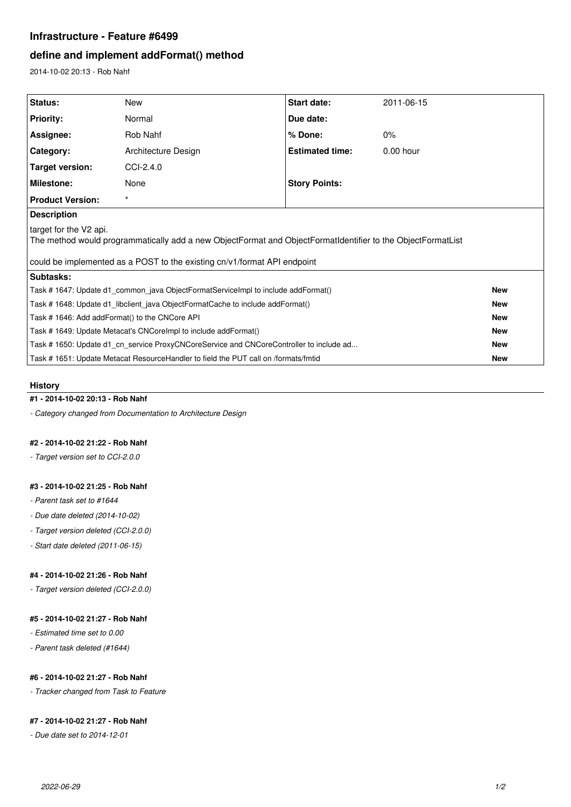# **Infrastructure - Feature #6499**

# **define and implement addFormat() method**

2014-10-02 20:13 - Rob Nahf

| <b>Status:</b>                                                                                                                        | <b>New</b>          | Start date:            | 2011-06-15  |            |
|---------------------------------------------------------------------------------------------------------------------------------------|---------------------|------------------------|-------------|------------|
| <b>Priority:</b>                                                                                                                      | Normal              | Due date:              |             |            |
| Assignee:                                                                                                                             | Rob Nahf            | % Done:                | $0\%$       |            |
| Category:                                                                                                                             | Architecture Design | <b>Estimated time:</b> | $0.00$ hour |            |
| <b>Target version:</b>                                                                                                                | CCI-2.4.0           |                        |             |            |
| Milestone:                                                                                                                            | None                | <b>Story Points:</b>   |             |            |
| <b>Product Version:</b>                                                                                                               | $\star$             |                        |             |            |
| <b>Description</b>                                                                                                                    |                     |                        |             |            |
| target for the V2 api.<br>The method would programmatically add a new ObjectFormat and ObjectFormatIdentifier to the ObjectFormatList |                     |                        |             |            |
| could be implemented as a POST to the existing cn/v1/format API endpoint                                                              |                     |                        |             |            |
| Subtasks:                                                                                                                             |                     |                        |             |            |
| Task # 1647: Update d1_common_java ObjectFormatServiceImpl to include addFormat()                                                     |                     |                        |             | <b>New</b> |
| Task #1648: Update d1 libclient java ObjectFormatCache to include addFormat()                                                         |                     |                        |             | <b>New</b> |
| Task #1646: Add addFormat() to the CNCore API                                                                                         |                     |                        |             | <b>New</b> |
| Task #1649: Update Metacat's CNCorelmpl to include addFormat()                                                                        |                     |                        |             | <b>New</b> |
| Task # 1650: Update d1 cn service ProxyCNCoreService and CNCoreController to include ad                                               |                     |                        |             | <b>New</b> |
| Task #1651: Update Metacat ResourceHandler to field the PUT call on /formats/fmtid                                                    |                     |                        |             | <b>New</b> |

#### **History**

### **#1 - 2014-10-02 20:13 - Rob Nahf**

*- Category changed from Documentation to Architecture Design*

# **#2 - 2014-10-02 21:22 - Rob Nahf**

*- Target version set to CCI-2.0.0*

### **#3 - 2014-10-02 21:25 - Rob Nahf**

- *Parent task set to #1644*
- *Due date deleted (2014-10-02)*
- *Target version deleted (CCI-2.0.0)*
- *Start date deleted (2011-06-15)*

### **#4 - 2014-10-02 21:26 - Rob Nahf**

*- Target version deleted (CCI-2.0.0)*

## **#5 - 2014-10-02 21:27 - Rob Nahf**

- *Estimated time set to 0.00*
- *Parent task deleted (#1644)*

# **#6 - 2014-10-02 21:27 - Rob Nahf**

*- Tracker changed from Task to Feature*

## **#7 - 2014-10-02 21:27 - Rob Nahf**

*- Due date set to 2014-12-01*